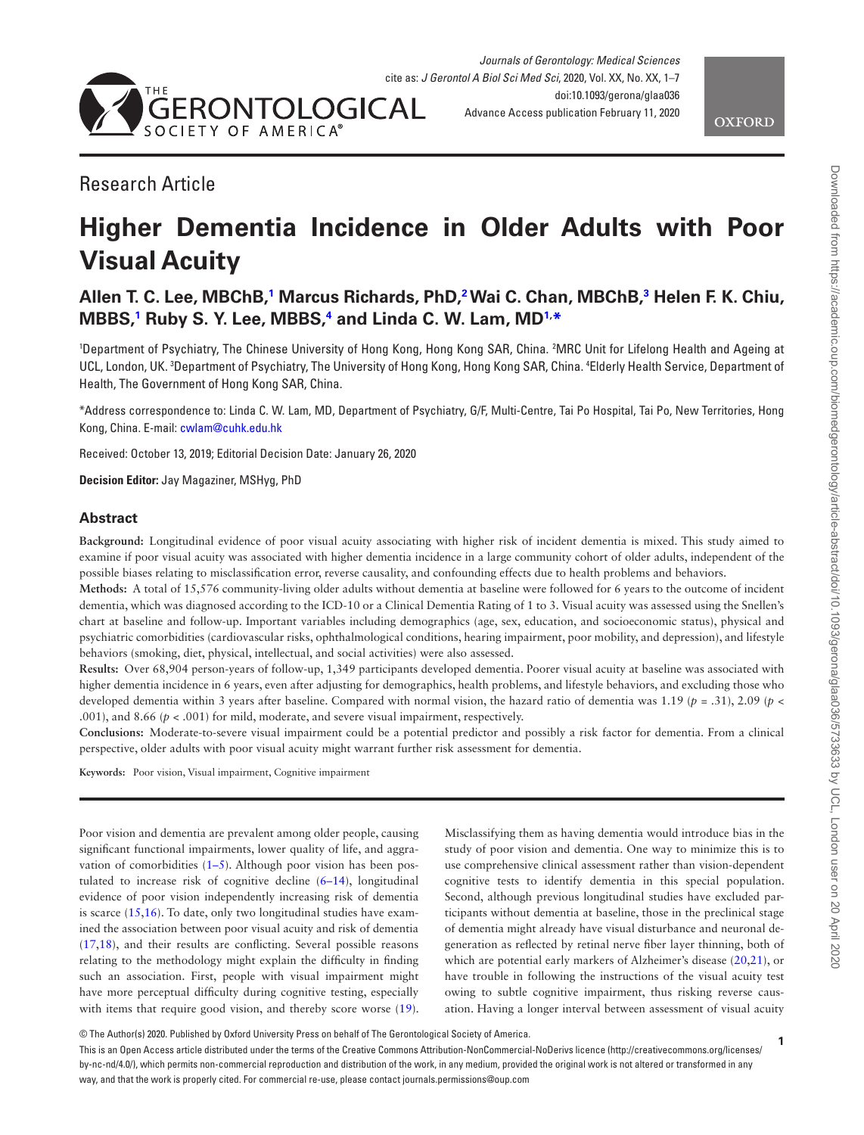



# Research Article

# **Higher Dementia Incidence in Older Adults with Poor Visual Acuity**

# **Allen T. C. Lee, MBChB[,1](#page-0-0) Marcus Richards, PhD[,2](#page-0-1) Wai C. Chan, MBChB,[3](#page-0-2) Helen F. K. Chiu, MBBS[,1](#page-0-0) Ruby S. Y. Lee, MBBS,[4](#page-0-3) and Linda C. W. Lam, MD[1,](#page-0-0) [\\*](#page-0-4)**

<span id="page-0-3"></span><span id="page-0-2"></span><span id="page-0-1"></span><span id="page-0-0"></span>1 Department of Psychiatry, The Chinese University of Hong Kong, Hong Kong SAR, China. 2 MRC Unit for Lifelong Health and Ageing at UCL, London, UK. <sup>3</sup>Department of Psychiatry, The University of Hong Kong, Hong Kong SAR, China. <sup>4</sup>Elderly Health Service, Department of Health, The Government of Hong Kong SAR, China.

<span id="page-0-4"></span>\*Address correspondence to: Linda C. W. Lam, MD, Department of Psychiatry, G/F, Multi-Centre, Tai Po Hospital, Tai Po, New Territories, Hong Kong, China. E-mail: [cwlam@cuhk.edu.hk](mailto:cwlam@cuhk.edu.hk?subject=)

Received: October 13, 2019; Editorial Decision Date: January 26, 2020

**Decision Editor:** Jay Magaziner, MSHyg, PhD

#### **Abstract**

**Background:** Longitudinal evidence of poor visual acuity associating with higher risk of incident dementia is mixed. This study aimed to examine if poor visual acuity was associated with higher dementia incidence in a large community cohort of older adults, independent of the possible biases relating to misclassification error, reverse causality, and confounding effects due to health problems and behaviors.

**Methods:** A total of 15,576 community-living older adults without dementia at baseline were followed for 6 years to the outcome of incident dementia, which was diagnosed according to the ICD-10 or a Clinical Dementia Rating of 1 to 3. Visual acuity was assessed using the Snellen's chart at baseline and follow-up. Important variables including demographics (age, sex, education, and socioeconomic status), physical and psychiatric comorbidities (cardiovascular risks, ophthalmological conditions, hearing impairment, poor mobility, and depression), and lifestyle behaviors (smoking, diet, physical, intellectual, and social activities) were also assessed.

**Results:** Over 68,904 person-years of follow-up, 1,349 participants developed dementia. Poorer visual acuity at baseline was associated with higher dementia incidence in 6 years, even after adjusting for demographics, health problems, and lifestyle behaviors, and excluding those who developed dementia within 3 years after baseline. Compared with normal vision, the hazard ratio of dementia was 1.19 (*p* = .31), 2.09 (*p* < .001), and 8.66 (*p* < .001) for mild, moderate, and severe visual impairment, respectively.

**Conclusions:** Moderate-to-severe visual impairment could be a potential predictor and possibly a risk factor for dementia. From a clinical perspective, older adults with poor visual acuity might warrant further risk assessment for dementia.

**Keywords:** Poor vision, Visual impairment, Cognitive impairment

Poor vision and dementia are prevalent among older people, causing significant functional impairments, lower quality of life, and aggravation of comorbidities  $(1-5)$ . Although poor vision has been postulated to increase risk of cognitive decline (6–14), longitudinal evidence of poor vision independently increasing risk of dementia is scarce [\(15](#page-6-0)[,16](#page-6-1)). To date, only two longitudinal studies have examined the association between poor visual acuity and risk of dementia [\(17](#page-6-2)[,18](#page-6-3)), and their results are conflicting. Several possible reasons relating to the methodology might explain the difficulty in finding such an association. First, people with visual impairment might have more perceptual difficulty during cognitive testing, especially with items that require good vision, and thereby score worse  $(19)$  $(19)$ .

Misclassifying them as having dementia would introduce bias in the study of poor vision and dementia. One way to minimize this is to use comprehensive clinical assessment rather than vision-dependent cognitive tests to identify dementia in this special population. Second, although previous longitudinal studies have excluded participants without dementia at baseline, those in the preclinical stage of dementia might already have visual disturbance and neuronal degeneration as reflected by retinal nerve fiber layer thinning, both of which are potential early markers of Alzheimer's disease [\(20](#page-6-5)[,21](#page-6-6)), or have trouble in following the instructions of the visual acuity test owing to subtle cognitive impairment, thus risking reverse causation. Having a longer interval between assessment of visual acuity

```
© The Author(s) 2020. Published by Oxford University Press on behalf of The Gerontological Society of America.
```
This is an Open Access article distributed under the terms of the Creative Commons Attribution-NonCommercial-NoDerivs licence (http://creativecommons.org/licenses/ by-nc-nd/4.0/), which permits non-commercial reproduction and distribution of the work, in any medium, provided the original work is not altered or transformed in any way, and that the work is properly cited. For commercial re-use, please contact journals.permissions@oup.com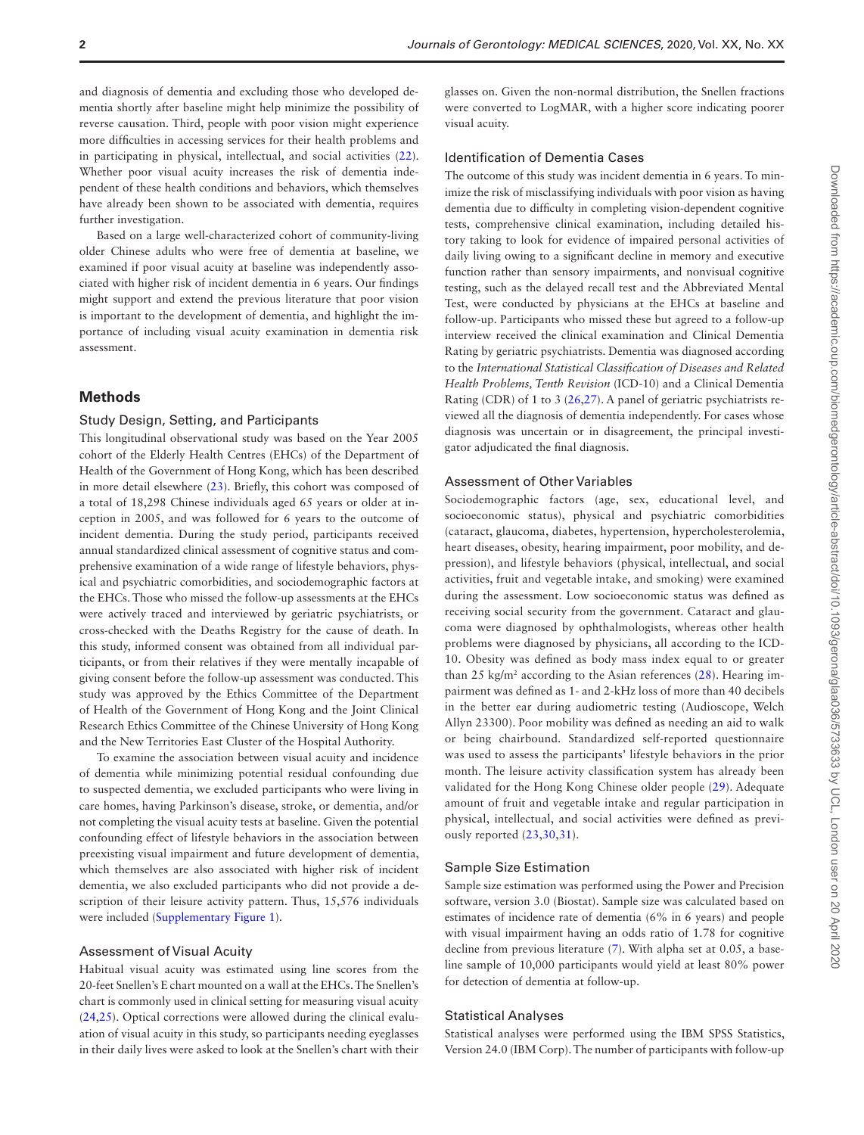and diagnosis of dementia and excluding those who developed dementia shortly after baseline might help minimize the possibility of reverse causation. Third, people with poor vision might experience more difficulties in accessing services for their health problems and in participating in physical, intellectual, and social activities [\(22](#page-6-7)). Whether poor visual acuity increases the risk of dementia independent of these health conditions and behaviors, which themselves have already been shown to be associated with dementia, requires further investigation.

Based on a large well-characterized cohort of community-living older Chinese adults who were free of dementia at baseline, we examined if poor visual acuity at baseline was independently associated with higher risk of incident dementia in 6 years. Our findings might support and extend the previous literature that poor vision is important to the development of dementia, and highlight the importance of including visual acuity examination in dementia risk assessment.

#### **Methods**

#### Study Design, Setting, and Participants

This longitudinal observational study was based on the Year 2005 cohort of the Elderly Health Centres (EHCs) of the Department of Health of the Government of Hong Kong, which has been described in more detail elsewhere [\(23](#page-6-8)). Briefly, this cohort was composed of a total of 18,298 Chinese individuals aged 65 years or older at inception in 2005, and was followed for 6 years to the outcome of incident dementia. During the study period, participants received annual standardized clinical assessment of cognitive status and comprehensive examination of a wide range of lifestyle behaviors, physical and psychiatric comorbidities, and sociodemographic factors at the EHCs. Those who missed the follow-up assessments at the EHCs were actively traced and interviewed by geriatric psychiatrists, or cross-checked with the Deaths Registry for the cause of death. In this study, informed consent was obtained from all individual participants, or from their relatives if they were mentally incapable of giving consent before the follow-up assessment was conducted. This study was approved by the Ethics Committee of the Department of Health of the Government of Hong Kong and the Joint Clinical Research Ethics Committee of the Chinese University of Hong Kong and the New Territories East Cluster of the Hospital Authority.

To examine the association between visual acuity and incidence of dementia while minimizing potential residual confounding due to suspected dementia, we excluded participants who were living in care homes, having Parkinson's disease, stroke, or dementia, and/or not completing the visual acuity tests at baseline. Given the potential confounding effect of lifestyle behaviors in the association between preexisting visual impairment and future development of dementia, which themselves are also associated with higher risk of incident dementia, we also excluded participants who did not provide a description of their leisure activity pattern. Thus, 15,576 individuals were included ([Supplementary Figure 1\)](http://academic.oup.com/biomedgerontology/article-lookup/doi/10.1093/gerona/glaa036#supplementary-data).

#### Assessment of Visual Acuity

Habitual visual acuity was estimated using line scores from the 20-feet Snellen's E chart mounted on a wall at the EHCs. The Snellen's chart is commonly used in clinical setting for measuring visual acuity [\(24](#page-6-9)[,25](#page-6-10)). Optical corrections were allowed during the clinical evaluation of visual acuity in this study, so participants needing eyeglasses in their daily lives were asked to look at the Snellen's chart with their

glasses on. Given the non-normal distribution, the Snellen fractions were converted to LogMAR, with a higher score indicating poorer visual acuity.

#### Identification of Dementia Cases

The outcome of this study was incident dementia in 6 years. To minimize the risk of misclassifying individuals with poor vision as having dementia due to difficulty in completing vision-dependent cognitive tests, comprehensive clinical examination, including detailed history taking to look for evidence of impaired personal activities of daily living owing to a significant decline in memory and executive function rather than sensory impairments, and nonvisual cognitive testing, such as the delayed recall test and the Abbreviated Mental Test, were conducted by physicians at the EHCs at baseline and follow-up. Participants who missed these but agreed to a follow-up interview received the clinical examination and Clinical Dementia Rating by geriatric psychiatrists. Dementia was diagnosed according to the *International Statistical Classification of Diseases and Related Health Problems, Tenth Revision* (ICD-10) and a Clinical Dementia Rating (CDR) of 1 to 3 [\(26](#page-6-11),[27\)](#page-6-12). A panel of geriatric psychiatrists reviewed all the diagnosis of dementia independently. For cases whose diagnosis was uncertain or in disagreement, the principal investigator adjudicated the final diagnosis.

#### Assessment of Other Variables

Sociodemographic factors (age, sex, educational level, and socioeconomic status), physical and psychiatric comorbidities (cataract, glaucoma, diabetes, hypertension, hypercholesterolemia, heart diseases, obesity, hearing impairment, poor mobility, and depression), and lifestyle behaviors (physical, intellectual, and social activities, fruit and vegetable intake, and smoking) were examined during the assessment. Low socioeconomic status was defined as receiving social security from the government. Cataract and glaucoma were diagnosed by ophthalmologists, whereas other health problems were diagnosed by physicians, all according to the ICD-10. Obesity was defined as body mass index equal to or greater than 25 kg/m<sup>2</sup> according to the Asian references  $(28)$  $(28)$ . Hearing impairment was defined as 1- and 2-kHz loss of more than 40 decibels in the better ear during audiometric testing (Audioscope, Welch Allyn 23300). Poor mobility was defined as needing an aid to walk or being chairbound. Standardized self-reported questionnaire was used to assess the participants' lifestyle behaviors in the prior month. The leisure activity classification system has already been validated for the Hong Kong Chinese older people [\(29](#page-6-14)). Adequate amount of fruit and vegetable intake and regular participation in physical, intellectual, and social activities were defined as previously reported ([23,](#page-6-8)[30](#page-6-15)[,31](#page-6-16)).

#### Sample Size Estimation

Sample size estimation was performed using the Power and Precision software, version 3.0 (Biostat). Sample size was calculated based on estimates of incidence rate of dementia (6% in 6 years) and people with visual impairment having an odds ratio of 1.78 for cognitive decline from previous literature ([7](#page-5-0)). With alpha set at 0.05, a baseline sample of 10,000 participants would yield at least 80% power for detection of dementia at follow-up.

#### Statistical Analyses

Statistical analyses were performed using the IBM SPSS Statistics, Version 24.0 (IBM Corp). The number of participants with follow-up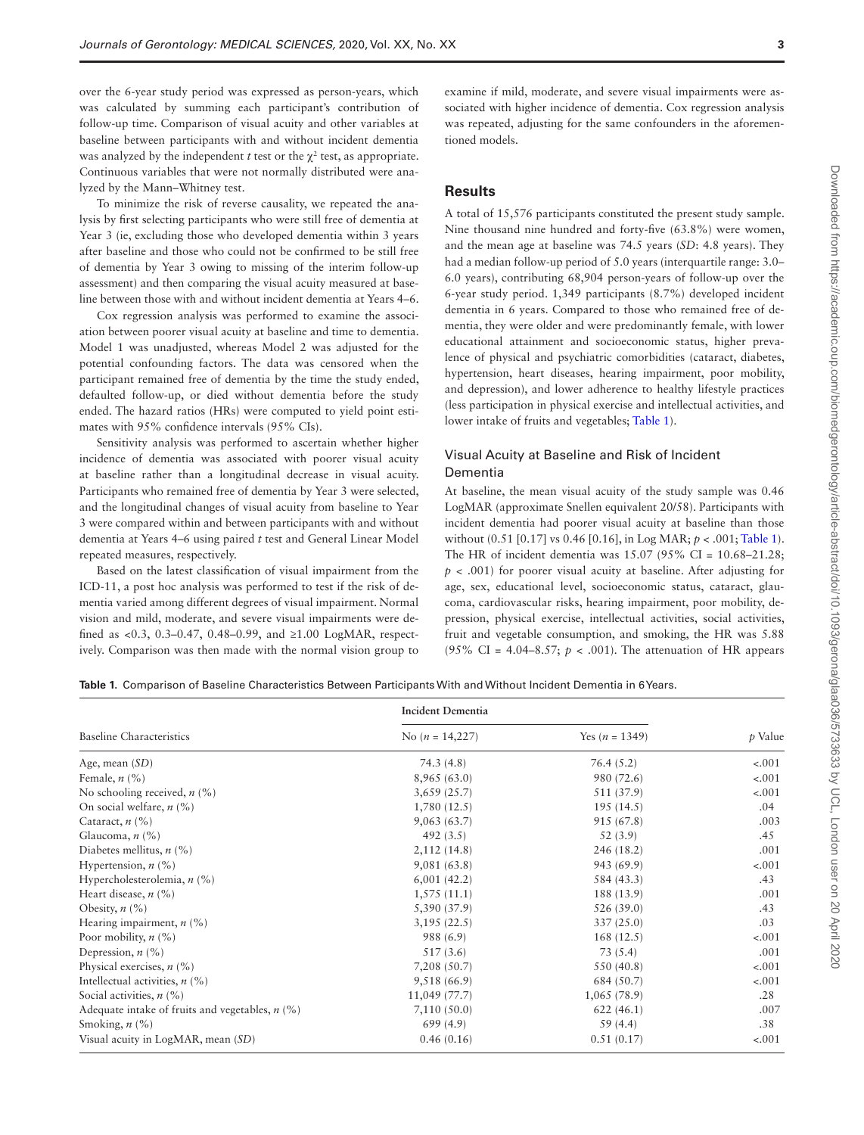over the 6-year study period was expressed as person-years, which was calculated by summing each participant's contribution of follow-up time. Comparison of visual acuity and other variables at baseline between participants with and without incident dementia was analyzed by the independent *t* test or the  $\chi^2$  test, as appropriate. Continuous variables that were not normally distributed were analyzed by the Mann–Whitney test.

To minimize the risk of reverse causality, we repeated the analysis by first selecting participants who were still free of dementia at Year 3 (ie, excluding those who developed dementia within 3 years after baseline and those who could not be confirmed to be still free of dementia by Year 3 owing to missing of the interim follow-up assessment) and then comparing the visual acuity measured at baseline between those with and without incident dementia at Years 4–6.

Cox regression analysis was performed to examine the association between poorer visual acuity at baseline and time to dementia. Model 1 was unadjusted, whereas Model 2 was adjusted for the potential confounding factors. The data was censored when the participant remained free of dementia by the time the study ended, defaulted follow-up, or died without dementia before the study ended. The hazard ratios (HRs) were computed to yield point estimates with 95% confidence intervals (95% CIs).

Sensitivity analysis was performed to ascertain whether higher incidence of dementia was associated with poorer visual acuity at baseline rather than a longitudinal decrease in visual acuity. Participants who remained free of dementia by Year 3 were selected, and the longitudinal changes of visual acuity from baseline to Year 3 were compared within and between participants with and without dementia at Years 4–6 using paired *t* test and General Linear Model repeated measures, respectively.

Based on the latest classification of visual impairment from the ICD-11, a post hoc analysis was performed to test if the risk of dementia varied among different degrees of visual impairment. Normal vision and mild, moderate, and severe visual impairments were defined as <0.3, 0.3–0.47, 0.48–0.99, and ≥1.00 LogMAR, respectively. Comparison was then made with the normal vision group to examine if mild, moderate, and severe visual impairments were associated with higher incidence of dementia. Cox regression analysis was repeated, adjusting for the same confounders in the aforementioned models.

# **Results**

A total of 15,576 participants constituted the present study sample. Nine thousand nine hundred and forty-five (63.8%) were women, and the mean age at baseline was 74.5 years (*SD*: 4.8 years). They had a median follow-up period of 5.0 years (interquartile range: 3.0– 6.0 years), contributing 68,904 person-years of follow-up over the 6-year study period. 1,349 participants (8.7%) developed incident dementia in 6 years. Compared to those who remained free of dementia, they were older and were predominantly female, with lower educational attainment and socioeconomic status, higher prevalence of physical and psychiatric comorbidities (cataract, diabetes, hypertension, heart diseases, hearing impairment, poor mobility, and depression), and lower adherence to healthy lifestyle practices (less participation in physical exercise and intellectual activities, and lower intake of fruits and vegetables; [Table 1\)](#page-2-0).

#### Visual Acuity at Baseline and Risk of Incident Dementia

At baseline, the mean visual acuity of the study sample was 0.46 LogMAR (approximate Snellen equivalent 20/58). Participants with incident dementia had poorer visual acuity at baseline than those without (0.51 [0.17] vs 0.46 [0.16], in Log MAR; *p* < .001; [Table 1](#page-2-0)). The HR of incident dementia was 15.07 (95% CI = 10.68–21.28; *p* < .001) for poorer visual acuity at baseline. After adjusting for age, sex, educational level, socioeconomic status, cataract, glaucoma, cardiovascular risks, hearing impairment, poor mobility, depression, physical exercise, intellectual activities, social activities, fruit and vegetable consumption, and smoking, the HR was 5.88 (95% CI = 4.04–8.57;  $p < .001$ ). The attenuation of HR appears

<span id="page-2-0"></span>**Table 1.** Comparison of Baseline Characteristics Between Participants With and Without Incident Dementia in 6 Years.

|                                                   | Incident Dementia |                  | $p$ Value |
|---------------------------------------------------|-------------------|------------------|-----------|
| <b>Baseline Characteristics</b>                   | No $(n = 14,227)$ | Yes $(n = 1349)$ |           |
| Age, mean $(SD)$                                  | 74.3(4.8)         | 76.4(5.2)        | $-.001$   |
| Female, $n$ (%)                                   | 8,965(63.0)       | 980 (72.6)       | $-.001$   |
| No schooling received, $n$ (%)                    | 3,659(25.7)       | 511 (37.9)       | $-.001$   |
| On social welfare, $n$ (%)                        | 1,780(12.5)       | 195(14.5)        | .04       |
| Cataract, $n$ (%)                                 | 9,063(63.7)       | 915 (67.8)       | .003      |
| Glaucoma, $n$ (%)                                 | 492 $(3.5)$       | 52(3.9)          | .45       |
| Diabetes mellitus, $n$ (%)                        | 2,112(14.8)       | 246 (18.2)       | .001      |
| Hypertension, $n$ (%)                             | 9,081(63.8)       | 943 (69.9)       | $-.001$   |
| Hypercholesterolemia, $n$ (%)                     | 6,001(42.2)       | 584 (43.3)       | .43       |
| Heart disease, $n$ (%)                            | 1,575(11.1)       | 188 (13.9)       | .001      |
| Obesity, $n$ (%)                                  | 5,390 (37.9)      | 526 (39.0)       | .43       |
| Hearing impairment, $n$ (%)                       | 3,195(22.5)       | 337 (25.0)       | .03       |
| Poor mobility, $n$ (%)                            | 988 (6.9)         | 168(12.5)        | $-.001$   |
| Depression, $n$ (%)                               | 517 (3.6)         | 73(5.4)          | .001      |
| Physical exercises, $n$ (%)                       | 7,208 (50.7)      | 550 (40.8)       | $-.001$   |
| Intellectual activities, $n$ (%)                  | 9,518 (66.9)      | 684 (50.7)       | $-.001$   |
| Social activities, $n$ (%)                        | 11,049 (77.7)     | 1,065(78.9)      | .28       |
| Adequate intake of fruits and vegetables, $n$ (%) | 7,110(50.0)       | 622(46.1)        | .007      |
| Smoking, $n$ (%)                                  | 699(4.9)          | 59(4.4)          | .38       |
| Visual acuity in LogMAR, mean (SD)                | 0.46(0.16)        | 0.51(0.17)       | $-.001$   |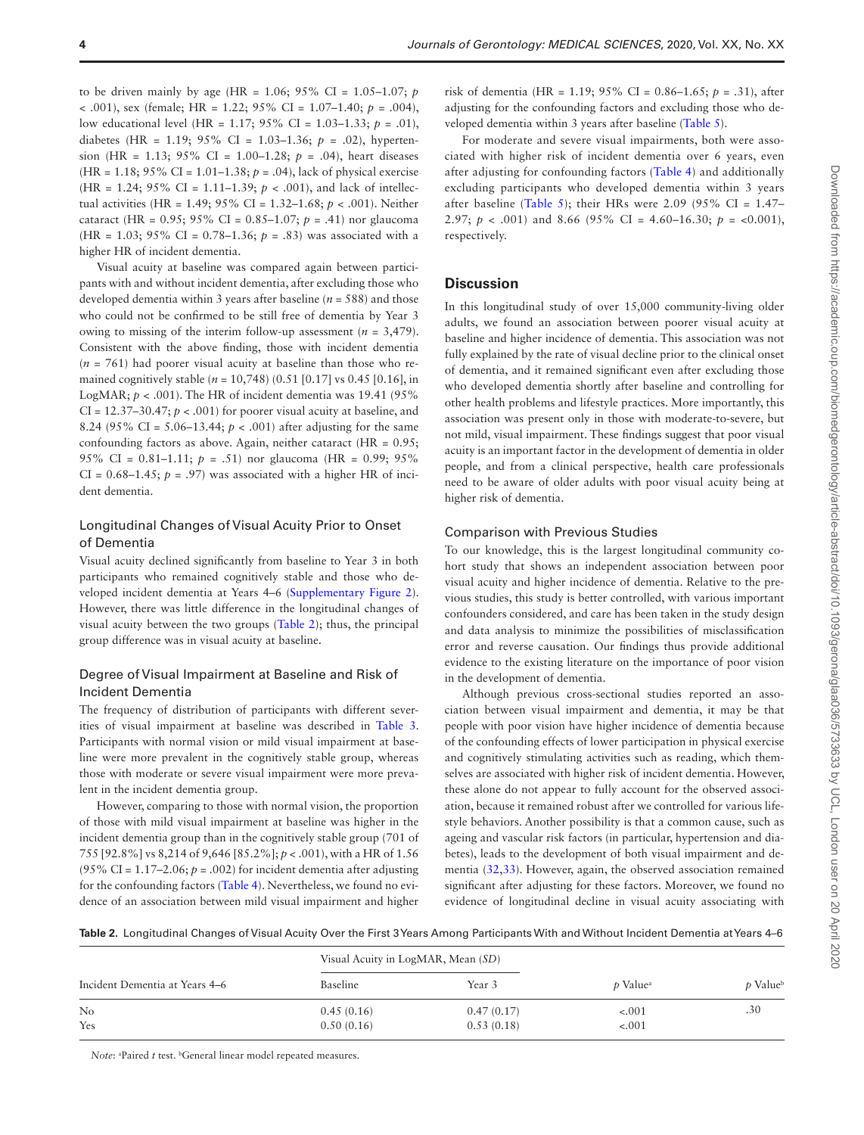to be driven mainly by age (HR =  $1.06$ ;  $95\%$  CI =  $1.05-1.07$ ; *p* < .001), sex (female; HR = 1.22; 95% CI = 1.07–1.40; *p* = .004), low educational level (HR = 1.17; 95% CI = 1.03–1.33; *p* = .01), diabetes (HR =  $1.19$ ;  $95\%$  CI =  $1.03-1.36$ ;  $p = .02$ ), hypertension (HR =  $1.13$ ;  $95\%$  CI =  $1.00-1.28$ ;  $p = .04$ ), heart diseases (HR = 1.18; 95% CI = 1.01–1.38; *p* = .04), lack of physical exercise (HR = 1.24; 95% CI = 1.11–1.39; *p* < .001), and lack of intellectual activities (HR = 1.49; 95% CI = 1.32–1.68; *p* < .001). Neither cataract (HR = 0.95; 95% CI = 0.85–1.07; *p* = .41) nor glaucoma (HR = 1.03;  $95\%$  CI = 0.78-1.36;  $p = .83$ ) was associated with a higher HR of incident dementia.

Visual acuity at baseline was compared again between participants with and without incident dementia, after excluding those who developed dementia within 3 years after baseline (*n* = 588) and those who could not be confirmed to be still free of dementia by Year 3 owing to missing of the interim follow-up assessment (*n* = 3,479). Consistent with the above finding, those with incident dementia  $(n = 761)$  had poorer visual acuity at baseline than those who remained cognitively stable ( $n = 10,748$ ) (0.51 [0.17] vs 0.45 [0.16], in LogMAR;  $p < .001$ ). The HR of incident dementia was 19.41 (95%) CI =  $12.37-30.47$ ;  $p < .001$ ) for poorer visual acuity at baseline, and 8.24 (95% CI =  $5.06-13.44$ ;  $p < .001$ ) after adjusting for the same confounding factors as above. Again, neither cataract (HR = 0.95; 95% CI = 0.81–1.11; *p* = .51) nor glaucoma (HR = 0.99; 95%  $CI = 0.68-1.45$ ;  $p = .97$ ) was associated with a higher HR of incident dementia.

#### Longitudinal Changes of Visual Acuity Prior to Onset of Dementia

Visual acuity declined significantly from baseline to Year 3 in both participants who remained cognitively stable and those who developed incident dementia at Years 4–6 ([Supplementary Figure 2](http://academic.oup.com/biomedgerontology/article-lookup/doi/10.1093/gerona/glaa036#supplementary-data)). However, there was little difference in the longitudinal changes of visual acuity between the two groups [\(Table 2](#page-3-0)); thus, the principal group difference was in visual acuity at baseline.

#### Degree of Visual Impairment at Baseline and Risk of Incident Dementia

The frequency of distribution of participants with different severities of visual impairment at baseline was described in [Table 3.](#page-4-0) Participants with normal vision or mild visual impairment at baseline were more prevalent in the cognitively stable group, whereas those with moderate or severe visual impairment were more prevalent in the incident dementia group.

However, comparing to those with normal vision, the proportion of those with mild visual impairment at baseline was higher in the incident dementia group than in the cognitively stable group (701 of 755 [92.8%] vs 8,214 of 9,646 [85.2%]; *p* < .001), with a HR of 1.56 (95% CI =  $1.17-2.06$ ;  $p = .002$ ) for incident dementia after adjusting for the confounding factors ([Table 4\)](#page-4-1). Nevertheless, we found no evidence of an association between mild visual impairment and higher

risk of dementia (HR = 1.19; 95% CI = 0.86–1.65; *p* = .31), after adjusting for the confounding factors and excluding those who developed dementia within 3 years after baseline [\(Table 5\)](#page-4-2).

For moderate and severe visual impairments, both were associated with higher risk of incident dementia over 6 years, even after adjusting for confounding factors ([Table 4](#page-4-1)) and additionally excluding participants who developed dementia within 3 years after baseline (Table 5); their HRs were 2.09 (95% CI =  $1.47-$ 2.97;  $p \lt 0.001$  and 8.66 (95% CI = 4.60–16.30;  $p \lt 0.001$ ), respectively.

# **Discussion**

In this longitudinal study of over 15,000 community-living older adults, we found an association between poorer visual acuity at baseline and higher incidence of dementia. This association was not fully explained by the rate of visual decline prior to the clinical onset of dementia, and it remained significant even after excluding those who developed dementia shortly after baseline and controlling for other health problems and lifestyle practices. More importantly, this association was present only in those with moderate-to-severe, but not mild, visual impairment. These findings suggest that poor visual acuity is an important factor in the development of dementia in older people, and from a clinical perspective, health care professionals need to be aware of older adults with poor visual acuity being at higher risk of dementia.

#### Comparison with Previous Studies

To our knowledge, this is the largest longitudinal community cohort study that shows an independent association between poor visual acuity and higher incidence of dementia. Relative to the previous studies, this study is better controlled, with various important confounders considered, and care has been taken in the study design and data analysis to minimize the possibilities of misclassification error and reverse causation. Our findings thus provide additional evidence to the existing literature on the importance of poor vision in the development of dementia.

Although previous cross-sectional studies reported an association between visual impairment and dementia, it may be that people with poor vision have higher incidence of dementia because of the confounding effects of lower participation in physical exercise and cognitively stimulating activities such as reading, which themselves are associated with higher risk of incident dementia. However, these alone do not appear to fully account for the observed association, because it remained robust after we controlled for various lifestyle behaviors. Another possibility is that a common cause, such as ageing and vascular risk factors (in particular, hypertension and diabetes), leads to the development of both visual impairment and dementia [\(32](#page-6-17),[33](#page-6-18)). However, again, the observed association remained significant after adjusting for these factors. Moreover, we found no evidence of longitudinal decline in visual acuity associating with

<span id="page-3-0"></span>**Table 2.** Longitudinal Changes of Visual Acuity Over the First 3 Years Among Participants With and Without Incident Dementia at Years 4–6

|                                | Visual Acuity in LogMAR, Mean (SD) |            | $p$ Value <sup>a</sup> | <i>p</i> Value |
|--------------------------------|------------------------------------|------------|------------------------|----------------|
| Incident Dementia at Years 4-6 | Baseline                           | Year 3     |                        |                |
| No                             | 0.45(0.16)                         | 0.47(0.17) | $-.001$                | .30            |
| Yes                            | 0.50(0.16)                         | 0.53(0.18) | $-.001$                |                |

Note: <sup>a</sup>Paired t test. <sup>b</sup>General linear model repeated measures.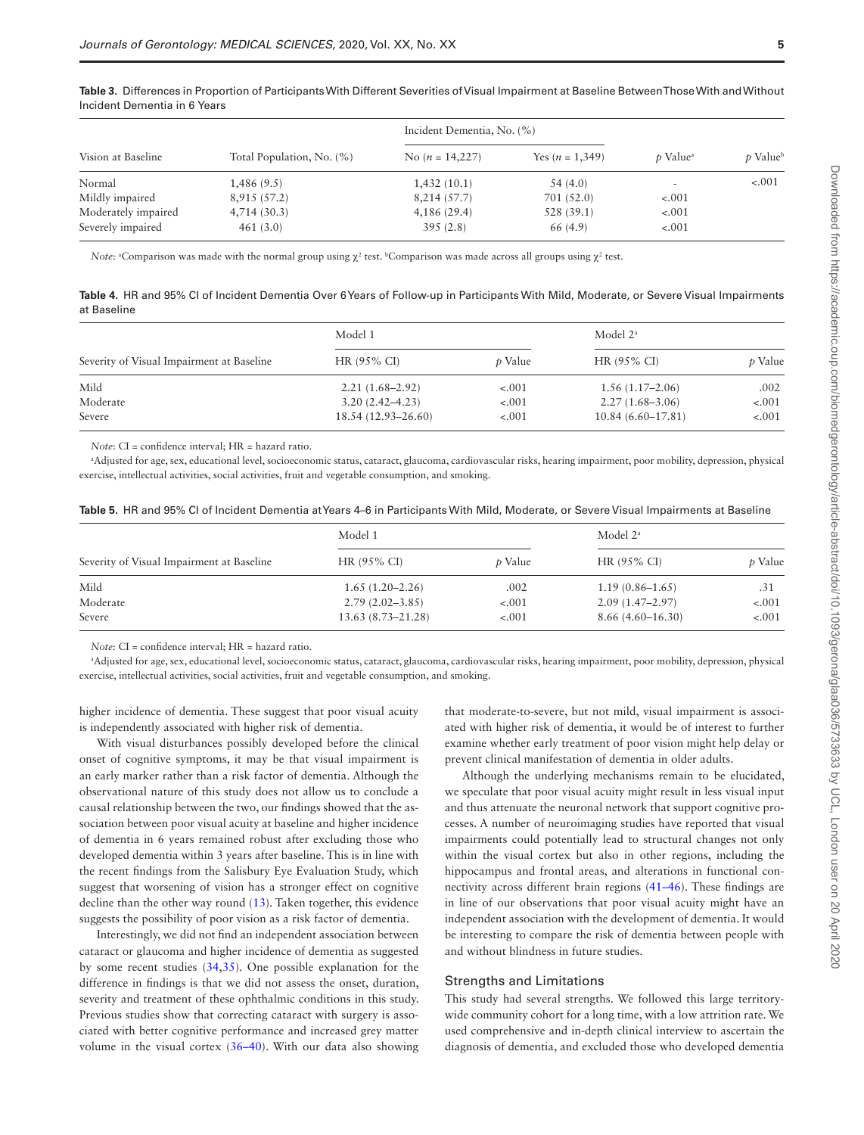| Vision at Baseline  |                           | Incident Dementia, No. (%) |                   |                             |                |
|---------------------|---------------------------|----------------------------|-------------------|-----------------------------|----------------|
|                     | Total Population, No. (%) | No $(n = 14,227)$          | Yes $(n = 1,349)$ | <i>t</i> Value <sup>a</sup> | <i>p</i> Value |
| Normal              | 1,486(9.5)                | 1,432(10.1)                | 54 (4.0)          |                             | $-.001$        |
| Mildly impaired     | 8,915 (57.2)              | 8,214(57.7)                | 701 (52.0)        | $-.001$                     |                |
| Moderately impaired | 4,714(30.3)               | 4,186(29.4)                | 528 (39.1)        | $-.001$                     |                |
| Severely impaired   | 461(3.0)                  | 395(2.8)                   | 66 (4.9)          | $-.001$                     |                |

<span id="page-4-0"></span>**Table 3.** Differences in Proportion of Participants With Different Severities of Visual Impairment at Baseline Between Those With and Without Incident Dementia in 6 Years

*Note*: <sup>a</sup>Comparison was made with the normal group using  $\chi^2$  test. <sup>b</sup>Comparison was made across all groups using  $\chi^2$  test.

<span id="page-4-1"></span>**Table 4.** HR and 95% CI of Incident Dementia Over 6 Years of Follow-up in Participants With Mild, Moderate, or Severe Visual Impairments at Baseline

| Severity of Visual Impairment at Baseline | Model 1                |                | Model $2^a$           |                |
|-------------------------------------------|------------------------|----------------|-----------------------|----------------|
|                                           | $HR (95\% CI)$         | <i>t</i> Value | $HR (95\% CI)$        | <i>p</i> Value |
| Mild                                      | $2.21(1.68 - 2.92)$    | $-.001$        | $1.56(1.17-2.06)$     | .002           |
| Moderate                                  | $3.20(2.42 - 4.23)$    | $-.001$        | $2.27(1.68 - 3.06)$   | $-.001$        |
| Severe                                    | $18.54(12.93 - 26.60)$ | $-.001$        | $10.84(6.60 - 17.81)$ | $-.001$        |

*Note*: CI = confidence interval; HR = hazard ratio.

a Adjusted for age, sex, educational level, socioeconomic status, cataract, glaucoma, cardiovascular risks, hearing impairment, poor mobility, depression, physical exercise, intellectual activities, social activities, fruit and vegetable consumption, and smoking.

<span id="page-4-2"></span>

|  |  |  |  |  |  | <b>Table 5</b> .  HR and 95% CI of Incident Dementia at Years 4–6 in Participants With Mild, Moderate, or Severe Visual Impairments at Baseline |
|--|--|--|--|--|--|-------------------------------------------------------------------------------------------------------------------------------------------------|
|--|--|--|--|--|--|-------------------------------------------------------------------------------------------------------------------------------------------------|

| Severity of Visual Impairment at Baseline | Model 1               |                | Model $2^a$         |                |
|-------------------------------------------|-----------------------|----------------|---------------------|----------------|
|                                           | $HR (95\% CI)$        | <i>t</i> Value | $HR (95\% CI)$      | <i>p</i> Value |
| Mild                                      | $1.65(1.20-2.26)$     | .002           | $1.19(0.86 - 1.65)$ | .31            |
| Moderate                                  | $2.79(2.02 - 3.85)$   | $-.001$        | $2.09(1.47-2.97)$   | $-.001$        |
| Severe                                    | $13.63(8.73 - 21.28)$ | $-.001$        | $8.66(4.60-16.30)$  | $-.001$        |

*Note*: CI = confidence interval; HR = hazard ratio.

a Adjusted for age, sex, educational level, socioeconomic status, cataract, glaucoma, cardiovascular risks, hearing impairment, poor mobility, depression, physical exercise, intellectual activities, social activities, fruit and vegetable consumption, and smoking.

higher incidence of dementia. These suggest that poor visual acuity is independently associated with higher risk of dementia.

With visual disturbances possibly developed before the clinical onset of cognitive symptoms, it may be that visual impairment is an early marker rather than a risk factor of dementia. Although the observational nature of this study does not allow us to conclude a causal relationship between the two, our findings showed that the association between poor visual acuity at baseline and higher incidence of dementia in 6 years remained robust after excluding those who developed dementia within 3 years after baseline. This is in line with the recent findings from the Salisbury Eye Evaluation Study, which suggest that worsening of vision has a stronger effect on cognitive decline than the other way round [\(13](#page-5-1)). Taken together, this evidence suggests the possibility of poor vision as a risk factor of dementia.

Interestingly, we did not find an independent association between cataract or glaucoma and higher incidence of dementia as suggested by some recent studies [\(34](#page-6-19)[,35](#page-6-20)). One possible explanation for the difference in findings is that we did not assess the onset, duration, severity and treatment of these ophthalmic conditions in this study. Previous studies show that correcting cataract with surgery is associated with better cognitive performance and increased grey matter volume in the visual cortex (36–40). With our data also showing

that moderate-to-severe, but not mild, visual impairment is associated with higher risk of dementia, it would be of interest to further examine whether early treatment of poor vision might help delay or prevent clinical manifestation of dementia in older adults.

Although the underlying mechanisms remain to be elucidated, we speculate that poor visual acuity might result in less visual input and thus attenuate the neuronal network that support cognitive processes. A number of neuroimaging studies have reported that visual impairments could potentially lead to structural changes not only within the visual cortex but also in other regions, including the hippocampus and frontal areas, and alterations in functional connectivity across different brain regions (41–46). These findings are in line of our observations that poor visual acuity might have an independent association with the development of dementia. It would be interesting to compare the risk of dementia between people with and without blindness in future studies.

#### Strengths and Limitations

This study had several strengths. We followed this large territorywide community cohort for a long time, with a low attrition rate. We used comprehensive and in-depth clinical interview to ascertain the diagnosis of dementia, and excluded those who developed dementia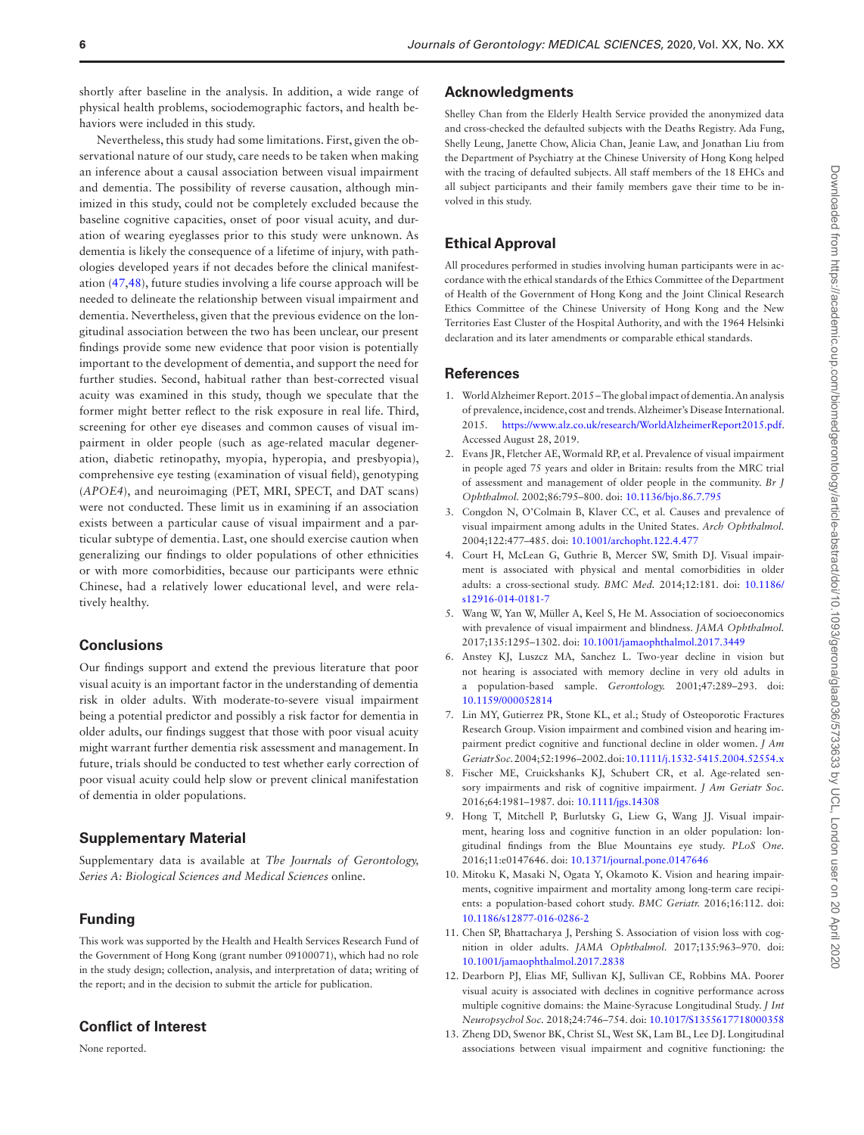shortly after baseline in the analysis. In addition, a wide range of physical health problems, sociodemographic factors, and health behaviors were included in this study.

Nevertheless, this study had some limitations. First, given the observational nature of our study, care needs to be taken when making an inference about a causal association between visual impairment and dementia. The possibility of reverse causation, although minimized in this study, could not be completely excluded because the baseline cognitive capacities, onset of poor visual acuity, and duration of wearing eyeglasses prior to this study were unknown. As dementia is likely the consequence of a lifetime of injury, with pathologies developed years if not decades before the clinical manifestation [\(47](#page-6-21),[48\)](#page-6-22), future studies involving a life course approach will be needed to delineate the relationship between visual impairment and dementia. Nevertheless, given that the previous evidence on the longitudinal association between the two has been unclear, our present findings provide some new evidence that poor vision is potentially important to the development of dementia, and support the need for further studies. Second, habitual rather than best-corrected visual acuity was examined in this study, though we speculate that the former might better reflect to the risk exposure in real life. Third, screening for other eye diseases and common causes of visual impairment in older people (such as age-related macular degeneration, diabetic retinopathy, myopia, hyperopia, and presbyopia), comprehensive eye testing (examination of visual field), genotyping (*APOE4*), and neuroimaging (PET, MRI, SPECT, and DAT scans) were not conducted. These limit us in examining if an association exists between a particular cause of visual impairment and a particular subtype of dementia. Last, one should exercise caution when generalizing our findings to older populations of other ethnicities or with more comorbidities, because our participants were ethnic Chinese, had a relatively lower educational level, and were relatively healthy.

#### **Conclusions**

Our findings support and extend the previous literature that poor visual acuity is an important factor in the understanding of dementia risk in older adults. With moderate-to-severe visual impairment being a potential predictor and possibly a risk factor for dementia in older adults, our findings suggest that those with poor visual acuity might warrant further dementia risk assessment and management. In future, trials should be conducted to test whether early correction of poor visual acuity could help slow or prevent clinical manifestation of dementia in older populations.

### **Supplementary Material**

Supplementary data is available at *The Journals of Gerontology, Series A: Biological Sciences and Medical Sciences* online.

### **Funding**

This work was supported by the Health and Health Services Research Fund of the Government of Hong Kong (grant number 09100071), which had no role in the study design; collection, analysis, and interpretation of data; writing of the report; and in the decision to submit the article for publication.

# **Conflict of Interest**

None reported.

#### **Acknowledgments**

Shelley Chan from the Elderly Health Service provided the anonymized data and cross-checked the defaulted subjects with the Deaths Registry. Ada Fung, Shelly Leung, Janette Chow, Alicia Chan, Jeanie Law, and Jonathan Liu from the Department of Psychiatry at the Chinese University of Hong Kong helped with the tracing of defaulted subjects. All staff members of the 18 EHCs and all subject participants and their family members gave their time to be involved in this study.

#### **Ethical Approval**

All procedures performed in studies involving human participants were in accordance with the ethical standards of the Ethics Committee of the Department of Health of the Government of Hong Kong and the Joint Clinical Research Ethics Committee of the Chinese University of Hong Kong and the New Territories East Cluster of the Hospital Authority, and with the 1964 Helsinki declaration and its later amendments or comparable ethical standards.

# **References**

- 1. World Alzheimer Report. 2015 The global impact of dementia. An analysis of prevalence, incidence, cost and trends. Alzheimer's Disease International. 2015. [https://www.alz.co.uk/research/WorldAlzheimerReport2015.pdf.](https://www.alz.co.uk/research/WorldAlzheimerReport2015.pdf) Accessed August 28, 2019.
- 2. Evans JR, Fletcher AE, Wormald RP, et al. Prevalence of visual impairment in people aged 75 years and older in Britain: results from the MRC trial of assessment and management of older people in the community. *Br J Ophthalmol.* 2002;86:795–800. doi: [10.1136/bjo.86.7.795](https://doi.org/10.1136/bjo.86.7.795)
- 3. Congdon N, O'Colmain B, Klaver CC, et al. Causes and prevalence of visual impairment among adults in the United States. *Arch Ophthalmol.* 2004;122:477–485. doi: [10.1001/archopht.122.4.477](https://doi.org/10.1001/archopht.122.4.477)
- 4. Court H, McLean G, Guthrie B, Mercer SW, Smith DJ. Visual impairment is associated with physical and mental comorbidities in older adults: a cross-sectional study. *BMC Med.* 2014;12:181. doi: [10.1186/](https://doi.org/10.1186/s12916-014-0181-7) [s12916-014-0181-7](https://doi.org/10.1186/s12916-014-0181-7)
- 5. Wang W, Yan W, Müller A, Keel S, He M. Association of socioeconomics with prevalence of visual impairment and blindness. *JAMA Ophthalmol.* 2017;135:1295–1302. doi: [10.1001/jamaophthalmol.2017.3449](https://doi.org/10.1001/jamaophthalmol.2017.3449)
- 6. Anstey KJ, Luszcz MA, Sanchez L. Two-year decline in vision but not hearing is associated with memory decline in very old adults in a population-based sample. *Gerontology.* 2001;47:289–293. doi: [10.1159/000052814](https://doi.org/10.1159/000052814)
- <span id="page-5-0"></span>7. Lin MY, Gutierrez PR, Stone KL, et al.; Study of Osteoporotic Fractures Research Group. Vision impairment and combined vision and hearing impairment predict cognitive and functional decline in older women. *J Am Geriatr Soc.* 2004;52:1996–2002. doi: [10.1111/j.1532-5415.2004.52554.x](https://doi.org/10.1111/j.1532-5415.2004.52554.x)
- 8. Fischer ME, Cruickshanks KJ, Schubert CR, et al. Age-related sensory impairments and risk of cognitive impairment. *J Am Geriatr Soc.* 2016;64:1981–1987. doi: [10.1111/jgs.14308](https://doi.org/10.1111/jgs.14308)
- 9. Hong T, Mitchell P, Burlutsky G, Liew G, Wang JJ. Visual impairment, hearing loss and cognitive function in an older population: longitudinal findings from the Blue Mountains eye study. *PLoS One.* 2016;11:e0147646. doi: [10.1371/journal.pone.0147646](https://doi.org/10.1371/journal.pone.0147646)
- 10. Mitoku K, Masaki N, Ogata Y, Okamoto K. Vision and hearing impairments, cognitive impairment and mortality among long-term care recipients: a population-based cohort study. *BMC Geriatr.* 2016;16:112. doi: [10.1186/s12877-016-0286-2](https://doi.org/10.1186/s12877-016-0286-2)
- 11. Chen SP, Bhattacharya J, Pershing S. Association of vision loss with cognition in older adults. *JAMA Ophthalmol.* 2017;135:963–970. doi: [10.1001/jamaophthalmol.2017.2838](https://doi.org/10.1001/jamaophthalmol.2017.2838)
- 12. Dearborn PJ, Elias MF, Sullivan KJ, Sullivan CE, Robbins MA. Poorer visual acuity is associated with declines in cognitive performance across multiple cognitive domains: the Maine-Syracuse Longitudinal Study. *J Int Neuropsychol Soc.* 2018;24:746–754. doi: [10.1017/S1355617718000358](https://doi.org/10.1017/S1355617718000358)
- <span id="page-5-1"></span>13. Zheng DD, Swenor BK, Christ SL, West SK, Lam BL, Lee DJ. Longitudinal associations between visual impairment and cognitive functioning: the